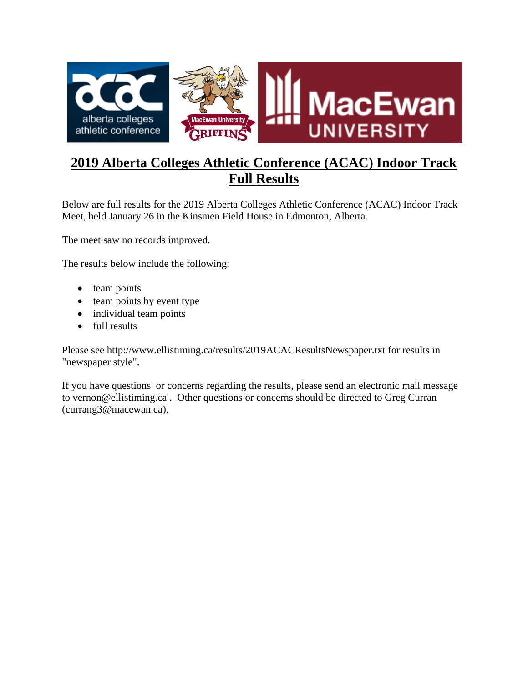

# **2019 Alberta Colleges Athletic Conference (ACAC) Indoor Track Full Results**

Below are full results for the 2019 Alberta Colleges Athletic Conference (ACAC) Indoor Track Meet, held January 26 in the Kinsmen Field House in Edmonton, Alberta.

The meet saw no records improved.

The results below include the following:

- team points
- team points by event type
- individual team points
- full results

Please see http://www.ellistiming.ca/results/2019ACACResultsNewspaper.txt for results in "newspaper style".

If you have questions or concerns regarding the results, please send an electronic mail message to vernon@ellistiming.ca . Other questions or concerns should be directed to Greg Curran (currang3@macewan.ca).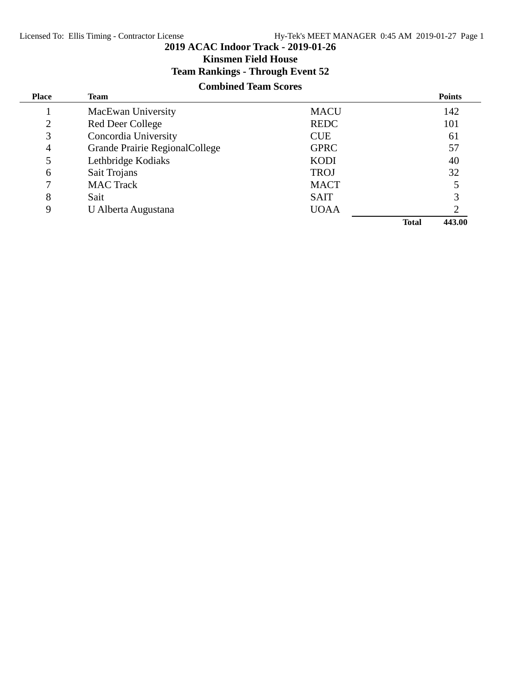**Kinsmen Field House**

## **Team Rankings - Through Event 52**

## **Combined Team Scores**

| <b>Place</b>   | Team                           |             | <b>Points</b>          |
|----------------|--------------------------------|-------------|------------------------|
|                | MacEwan University             | <b>MACU</b> | 142                    |
| $\overline{2}$ | Red Deer College               | <b>REDC</b> | 101                    |
| 3              | Concordia University           | <b>CUE</b>  | 61                     |
| 4              | Grande Prairie RegionalCollege | <b>GPRC</b> | 57                     |
| 5              | Lethbridge Kodiaks             | <b>KODI</b> | 40                     |
| 6              | Sait Trojans                   | <b>TROJ</b> | 32                     |
| 7              | <b>MAC Track</b>               | <b>MACT</b> |                        |
| 8              | Sait                           | <b>SAIT</b> |                        |
| 9              | U Alberta Augustana            | <b>UOAA</b> |                        |
|                |                                |             | 443.00<br><b>Total</b> |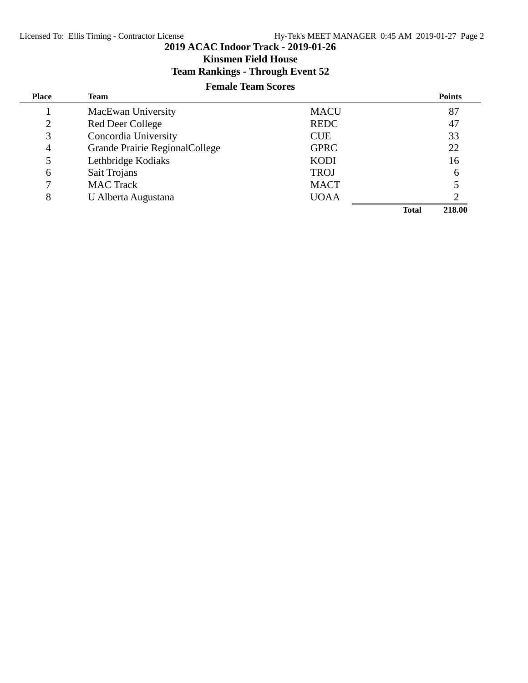**Kinsmen Field House**

## **Team Rankings - Through Event 52**

## **Female Team Scores**

| <b>Place</b>   | Team                           |             |              | <b>Points</b> |
|----------------|--------------------------------|-------------|--------------|---------------|
|                | MacEwan University             | <b>MACU</b> |              | 87            |
| $\overline{2}$ | Red Deer College               | <b>REDC</b> |              | 47            |
| 3              | Concordia University           | <b>CUE</b>  |              | 33            |
| 4              | Grande Prairie RegionalCollege | <b>GPRC</b> |              | 22            |
| 5              | Lethbridge Kodiaks             | <b>KODI</b> |              | 16            |
| 6              | Sait Trojans                   | <b>TROJ</b> |              | 6             |
|                | <b>MAC</b> Track               | <b>MACT</b> |              |               |
| 8              | U Alberta Augustana            | <b>UOAA</b> |              |               |
|                |                                |             | <b>Total</b> | 218.00        |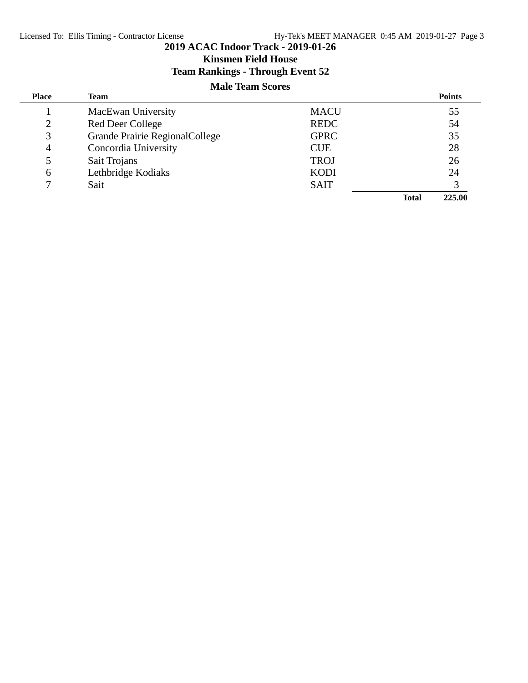**Kinsmen Field House**

## **Team Rankings - Through Event 52**

## **Male Team Scores**

| <b>Place</b>   | Team                           |             |              | <b>Points</b> |
|----------------|--------------------------------|-------------|--------------|---------------|
|                | MacEwan University             | <b>MACU</b> |              | 55            |
| $\overline{2}$ | Red Deer College               | <b>REDC</b> |              | 54            |
| 3              | Grande Prairie RegionalCollege | <b>GPRC</b> |              | 35            |
| 4              | Concordia University           | <b>CUE</b>  |              | 28            |
| 5              | Sait Trojans                   | <b>TROJ</b> |              | 26            |
| 6              | Lethbridge Kodiaks             | <b>KODI</b> |              | 24            |
| $\tau$         | Sait                           | <b>SAIT</b> |              |               |
|                |                                |             | <b>Total</b> | 225.00        |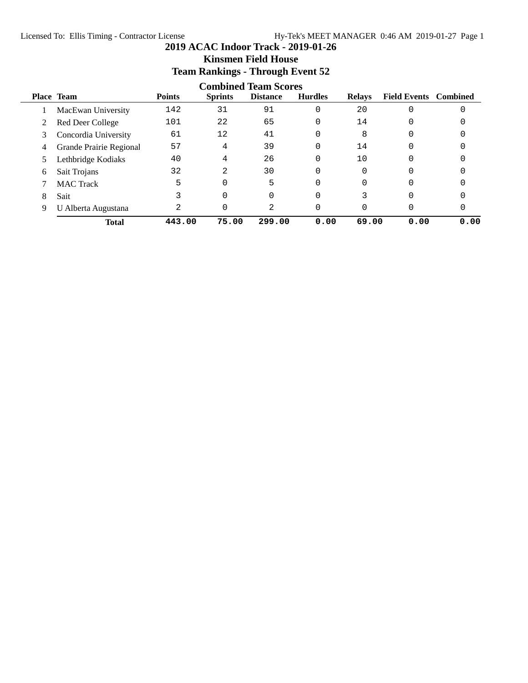## **Team Rankings - Through Event 52 Combined Team Scores Place Team Points Sprints Distance Hurdles Relays Field Events Combined** 1 MacEwan University 142 31 91 0 20 0 0 2 Red Deer College 101 22 65 0 14 0 0 3 Concordia University 61 12 41 0 8 0 0 4 Grande Prairie Regional 57 4 39 0 14 0 0 5 Lethbridge Kodiaks 40 4 26 0 10 0 0 6 Sait Trojans 32 2 30 0 0 0 0 7 MAC Track 5 0 5 0 0 0 0 0 8 Sait 3 0 0 0 3 0 0 9 U Alberta Augustana  $\begin{array}{ccccccc} 2 & 0 & 2 & 0 & 0 & 0 \end{array}$ **Total 443.00 75.00 299.00 0.00 69.00 0.00 0.00**

**Kinsmen Field House**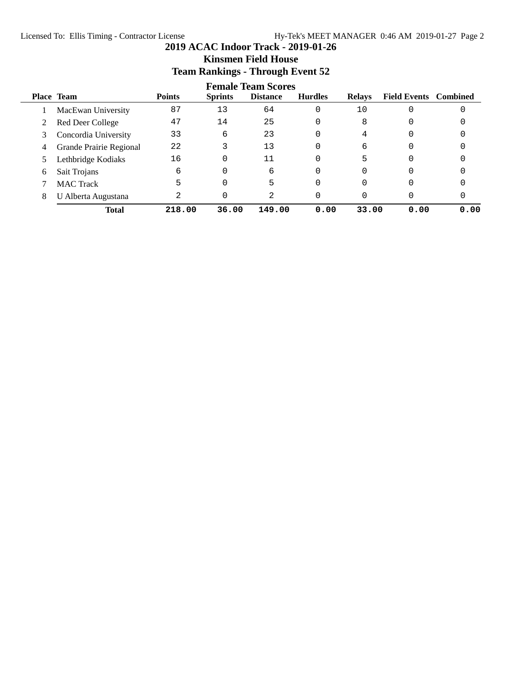## **2019 ACAC Indoor Track - 2019-01-26 Kinsmen Field House Team Rankings - Through Event 52**

|   | <b>Female Team Scores</b> |               |                |                 |                |               |                              |      |
|---|---------------------------|---------------|----------------|-----------------|----------------|---------------|------------------------------|------|
|   | <b>Place Team</b>         | <b>Points</b> | <b>Sprints</b> | <b>Distance</b> | <b>Hurdles</b> | <b>Relays</b> | <b>Field Events</b> Combined |      |
|   | MacEwan University        | 87            | 13             | 64              | 0              | 10            |                              |      |
| 2 | Red Deer College          | 47            | 14             | 25              | 0              | 8             |                              |      |
| 3 | Concordia University      | 33            | 6              | 23              | 0              | 4             |                              |      |
| 4 | Grande Prairie Regional   | 22            |                | 13              | 0              | 6             |                              |      |
|   | Lethbridge Kodiaks        | 16            | 0              | 11              | 0              | 5             |                              |      |
| 6 | Sait Trojans              | 6             | 0              | 6               | 0              |               |                              |      |
|   | <b>MAC</b> Track          | 5             | 0              | 5               | 0              |               |                              |      |
| 8 | U Alberta Augustana       | 2             | 0              | 2               |                |               |                              |      |
|   | <b>Total</b>              | 218.00        | 36.00          | 149.00          | 0.00           | 33.00         | 0.00                         | 0.00 |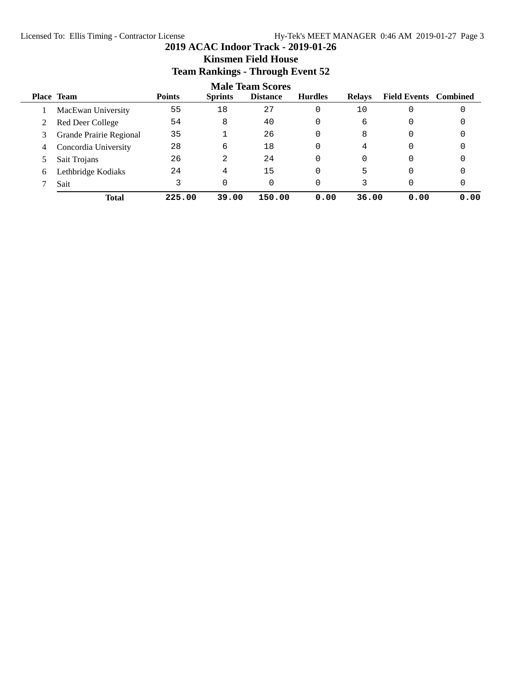## **2019 ACAC Indoor Track - 2019-01-26 Kinsmen Field House Team Rankings - Through Event 52**

|   |                         |               |                | <b>Male Team Scores</b> |                |               |                              |      |
|---|-------------------------|---------------|----------------|-------------------------|----------------|---------------|------------------------------|------|
|   | <b>Place Team</b>       | <b>Points</b> | <b>Sprints</b> | <b>Distance</b>         | <b>Hurdles</b> | <b>Relays</b> | <b>Field Events</b> Combined |      |
|   | MacEwan University      | 55            | 18             | 27                      | 0              | 10            | 0                            |      |
|   | Red Deer College        | 54            | 8              | 40                      | 0              | 6             | 0                            |      |
| 3 | Grande Prairie Regional | 35            |                | 26                      |                | 8             | 0                            |      |
| 4 | Concordia University    | 28            | 6              | 18                      | 0              | 4             | 0                            |      |
|   | Sait Trojans            | 26            | 2              | 24                      | 0              | 0             | 0                            |      |
| 6 | Lethbridge Kodiaks      | 24            | 4              | 15                      |                | 5             | 0                            |      |
|   | Sait                    |               |                |                         |                | 3             | 0                            |      |
|   | <b>Total</b>            | 225.00        | 39.00          | 150.00                  | 0.00           | 36.00         | 0.00                         | 0.00 |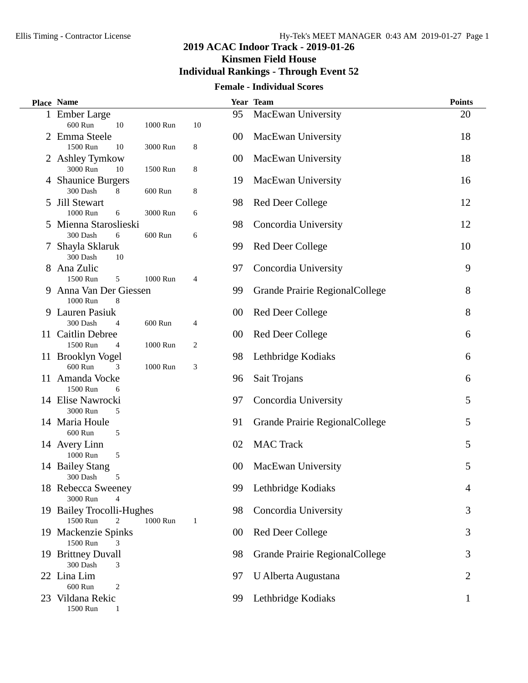**Kinsmen Field House**

## **Individual Rankings - Through Event 52**

## **Female - Individual Scores**

| 95<br>MacEwan University<br>1 Ember Large                                                    | 20 |
|----------------------------------------------------------------------------------------------|----|
|                                                                                              |    |
| 600 Run<br>1000 Run<br>10<br>10                                                              |    |
| Emma Steele<br>MacEwan University<br>2<br>00                                                 | 18 |
| 1500 Run<br>3000 Run<br>8<br>10                                                              |    |
| MacEwan University<br>2 Ashley Tymkow<br>00<br>3000 Run<br>10<br>1500 Run<br>8               | 18 |
| 4 Shaunice Burgers<br>MacEwan University<br>19                                               | 16 |
| 300 Dash<br>600 Run<br>8<br>8                                                                |    |
| <b>Jill Stewart</b><br><b>Red Deer College</b><br>98<br>5                                    | 12 |
| 1000 Run<br>3000 Run<br>6<br>6                                                               |    |
| Mienna Staroslieski<br>Concordia University<br>98<br>5                                       | 12 |
| 300 Dash<br>6<br>600 Run<br>6                                                                |    |
| 7 Shayla Sklaruk<br><b>Red Deer College</b><br>99<br>300 Dash<br>10                          | 10 |
| 8 Ana Zulic<br>Concordia University<br>97                                                    | 9  |
| 1500 Run<br>5<br>1000 Run<br>4                                                               |    |
| 9 Anna Van Der Giessen<br>Grande Prairie RegionalCollege<br>99                               | 8  |
| 1000 Run<br>8                                                                                |    |
| Lauren Pasiuk<br><b>Red Deer College</b><br>9<br>$00\,$                                      | 8  |
| 600 Run<br>300 Dash<br>4<br>4                                                                |    |
| 11 Caitlin Debree<br>00<br><b>Red Deer College</b>                                           | 6  |
| 1500 Run<br>1000 Run<br>2<br>$\overline{4}$<br>11 Brooklyn Vogel<br>98<br>Lethbridge Kodiaks | 6  |
| 600 Run<br>3<br>1000 Run<br>3                                                                |    |
| 11 Amanda Vocke<br>Sait Trojans<br>96                                                        | 6  |
| 1500 Run<br>6                                                                                |    |
| 14 Elise Nawrocki<br>Concordia University<br>97                                              | 5  |
| 3000 Run<br>5                                                                                |    |
| 14 Maria Houle<br>Grande Prairie RegionalCollege<br>91<br>600 Run                            | 5  |
| 5<br><b>MAC Track</b><br>14 Avery Linn<br>02                                                 | 5  |
| 1000 Run<br>5                                                                                |    |
| 14 Bailey Stang<br>MacEwan University<br>00                                                  | 5  |
| 300 Dash<br>5                                                                                |    |
| Lethbridge Kodiaks<br>18 Rebecca Sweeney<br>99                                               | 4  |
| 3000 Run                                                                                     |    |
| 19 Bailey Trocolli-Hughes<br>Concordia University<br>98<br>1500 Run<br>1000 Run<br>2<br>1    | 3  |
| 19 Mackenzie Spinks<br><b>Red Deer College</b><br>00                                         | 3  |
| 1500 Run<br>3                                                                                |    |
| 19 Brittney Duvall<br>Grande Prairie RegionalCollege<br>98                                   | 3  |
| 300 Dash<br>3                                                                                |    |
| 22 Lina Lim<br>U Alberta Augustana<br>97                                                     | 2  |
| 600 Run<br>2                                                                                 |    |
| Lethbridge Kodiaks<br>23 Vildana Rekic<br>99<br>1500 Run                                     | 1  |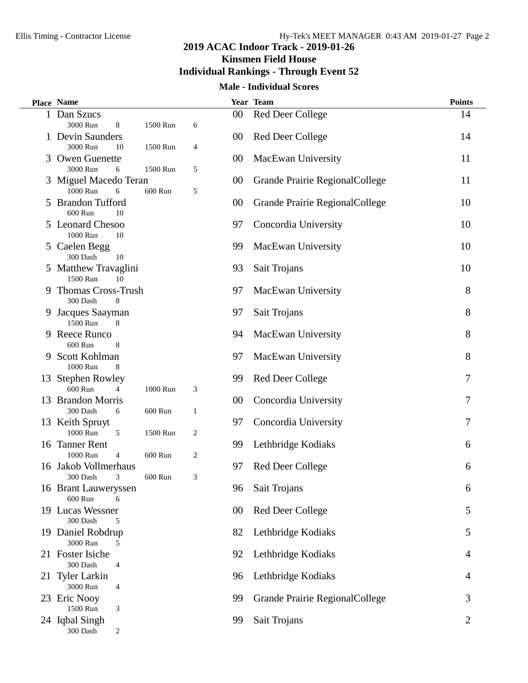**Kinsmen Field House**

## **Individual Rankings - Through Event 52**

## **Male - Individual Scores**

|   | Place Name                                       |                            |        | Year Team                      | <b>Points</b>  |
|---|--------------------------------------------------|----------------------------|--------|--------------------------------|----------------|
|   | 1 Dan Szucs                                      |                            | $00\,$ | <b>Red Deer College</b>        | 14             |
|   | 3000 Run<br>8                                    | 1500 Run<br>6              |        |                                |                |
|   | 1 Devin Saunders                                 |                            | 00     | <b>Red Deer College</b>        | 14             |
|   | 3000 Run<br>10<br>1500 Run                       | 4                          |        |                                |                |
| 3 | <b>Owen Guenette</b>                             |                            | 00     | MacEwan University             | 11             |
|   | 3000 Run<br>6<br>1500 Run                        | 5                          |        |                                |                |
|   | 3 Miguel Macedo Teran                            |                            | 00     | Grande Prairie RegionalCollege | 11             |
|   | 1000 Run<br>6<br>600 Run                         | 5                          |        |                                |                |
|   | 5 Brandon Tufford<br>600 Run<br>10               |                            | 00     | Grande Prairie RegionalCollege | 10             |
|   | 5 Leonard Chesoo                                 |                            |        |                                | 10             |
|   | 1000 Run<br>10                                   |                            | 97     | Concordia University           |                |
|   | 5 Caelen Begg                                    |                            | 99     | MacEwan University             | 10             |
|   | 300 Dash<br>10                                   |                            |        |                                |                |
|   | 5 Matthew Travaglini                             |                            | 93     | Sait Trojans                   | 10             |
|   | 1500 Run<br>10                                   |                            |        |                                |                |
|   | 9 Thomas Cross-Trush                             |                            | 97     | MacEwan University             | 8              |
|   | 300 Dash<br>8                                    |                            |        |                                |                |
|   | 9 Jacques Saayman                                |                            | 97     | Sait Trojans                   | 8              |
|   | 1500 Run<br>8                                    |                            |        |                                |                |
|   | 9 Reece Runco                                    |                            | 94     | MacEwan University             | 8              |
|   | 600 Run<br>8                                     |                            |        |                                |                |
|   | 9 Scott Kohlman                                  |                            | 97     | MacEwan University             | 8              |
|   | 1000 Run<br>8                                    |                            |        |                                |                |
|   | 13 Stephen Rowley                                |                            | 99     | <b>Red Deer College</b>        | 7              |
|   | 600 Run<br>1000 Run                              | 3                          |        |                                |                |
|   | 13 Brandon Morris                                |                            | 00     | Concordia University           | 7              |
|   | 300 Dash<br>600 Run<br>6                         | 1                          |        |                                |                |
|   | 13 Keith Spruyt                                  |                            | 97     | Concordia University           | 7              |
|   | 1000 Run<br>5                                    | $\overline{c}$<br>1500 Run |        |                                |                |
|   | 16 Tanner Rent                                   |                            | 99     | Lethbridge Kodiaks             | 6              |
|   | 1000 Run<br>600 Run<br>4                         | 2                          |        |                                |                |
|   | 16 Jakob Vollmerhaus<br>300 Dash<br>3<br>600 Run | 3                          | 97     | <b>Red Deer College</b>        | 6              |
|   | 16 Brant Lauweryssen                             |                            | 96     | Sait Trojans                   | 6              |
|   | 600 Run<br>6                                     |                            |        |                                |                |
|   | 19 Lucas Wessner                                 |                            | 00     | <b>Red Deer College</b>        | 5              |
|   | 300 Dash<br>5                                    |                            |        |                                |                |
|   | 19 Daniel Robdrup                                |                            | 82     | Lethbridge Kodiaks             | 5              |
|   | 3000 Run<br>5                                    |                            |        |                                |                |
|   | 21 Foster Isiche                                 |                            | 92     | Lethbridge Kodiaks             | 4              |
|   | 300 Dash<br>4                                    |                            |        |                                |                |
|   | 21 Tyler Larkin                                  |                            | 96     | Lethbridge Kodiaks             | 4              |
|   | 3000 Run<br>4                                    |                            |        |                                |                |
|   | 23 Eric Nooy                                     |                            | 99     | Grande Prairie RegionalCollege | 3              |
|   | 1500 Run<br>3                                    |                            |        |                                |                |
|   | 24 Iqbal Singh                                   |                            | 99     | Sait Trojans                   | $\overline{2}$ |
|   | $300$ Dash<br>$\overline{c}$                     |                            |        |                                |                |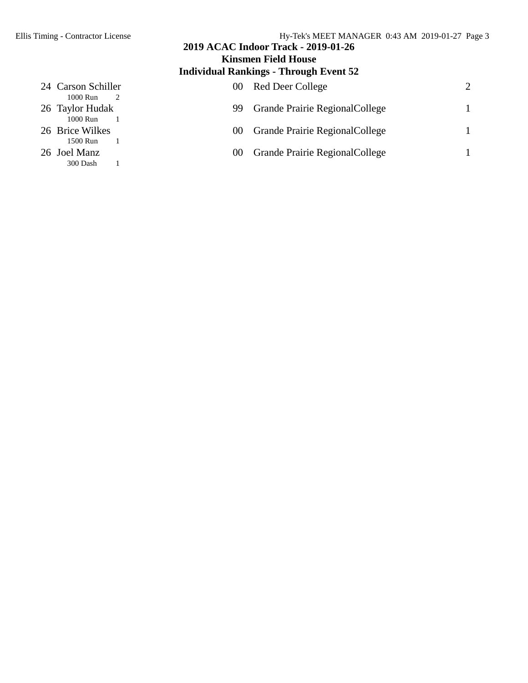## **Individual Rankings - Through Event 52** 24 Carson Schiller 00 Red Deer College 2 1000 Run 2 26 Taylor Hudak 1000 Run 11 99 Grande Prairie RegionalCollege 1 1000 Run 26 Brice Wilkes 00 Grande Prairie RegionalCollege 1 1500 Run 1 26 Joel Manz 00 Grande Prairie RegionalCollege 1<br>300 Dash 1 300 Dash 1

**2019 ACAC Indoor Track - 2019-01-26 Kinsmen Field House**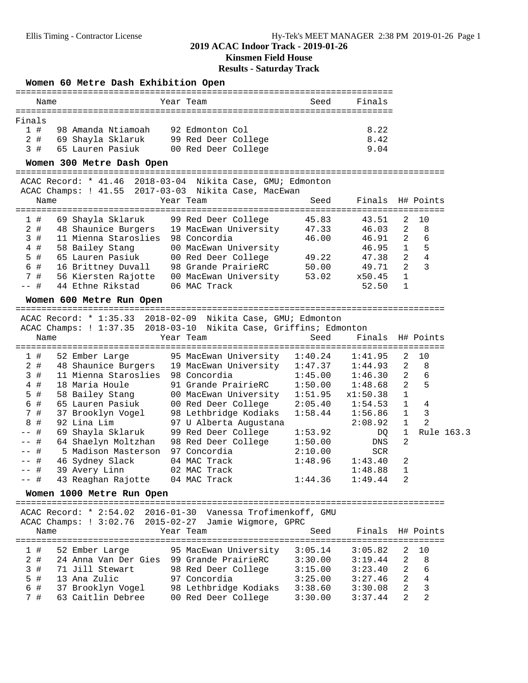### **2019 ACAC Indoor Track - 2019-01-26 Kinsmen Field House**

**Results - Saturday Track**

#### **Women 60 Metre Dash Exhibition Open**

|         | Name |                  |                    | Year Team |                 |                     | Seed | Finals |
|---------|------|------------------|--------------------|-----------|-----------------|---------------------|------|--------|
|         |      |                  |                    |           |                 |                     |      |        |
| Finals  |      |                  |                    |           |                 |                     |      |        |
| $1 \pm$ |      |                  | 98 Amanda Ntiamoah |           | 92 Edmonton Col |                     |      | 8.22   |
| 2#      |      |                  | 69 Shayla Sklaruk  |           |                 | 99 Red Deer College |      | 8.42   |
|         | 3 #  | 65 Lauren Pasiuk |                    |           |                 | 00 Red Deer College |      | 9.04   |

#### **Women 300 Metre Dash Open**

=================================================================================== ACAC Record: \* 41.46 2018-03-04 Nikita Case, GMU; Edmonton

|                                                   |      |                                                                                                                                                                          | Seed      |                                                      |               |                  |
|---------------------------------------------------|------|--------------------------------------------------------------------------------------------------------------------------------------------------------------------------|-----------|------------------------------------------------------|---------------|------------------|
|                                                   |      |                                                                                                                                                                          |           |                                                      |               |                  |
|                                                   |      | 99 Red Deer College                                                                                                                                                      | 45.83     | 43.51                                                | 2             | 10               |
|                                                   |      | 19 MacEwan University                                                                                                                                                    | 47.33     | 46.03                                                | 2             | -8               |
|                                                   |      | 98 Concordia                                                                                                                                                             | 46.00     | 46.91                                                | $\mathcal{L}$ | 6                |
|                                                   |      | 00 MacEwan University                                                                                                                                                    |           | 46.95                                                | $\mathbf{1}$  | 5                |
|                                                   |      | 00 Red Deer College                                                                                                                                                      | 49.22     | 47.38                                                | $\mathcal{L}$ | 4                |
|                                                   |      | 98 Grande PrairieRC                                                                                                                                                      | 50.00     | 49.71                                                | 2.            | 3                |
|                                                   |      | 00 MacEwan University                                                                                                                                                    | 53.02     | x50.45                                               | $\mathbf{1}$  |                  |
|                                                   |      | 06 MAC Track                                                                                                                                                             |           | 52.50                                                |               |                  |
| 1#<br>2#<br>3#<br>4#<br>5#<br>6 #<br>7#<br>$--$ # | Name | 69 Shayla Sklaruk<br>48 Shaunice Burgers<br>11 Mienna Staroslies<br>58 Bailey Stang<br>65 Lauren Pasiuk<br>16 Brittney Duvall<br>56 Kiersten Rajotte<br>44 Ethne Rikstad | Year Team | ACAC Champs: ! 41.55 2017-03-03 Nikita Case, MacEwan |               | Finals H# Points |

#### **Women 600 Metre Run Open**

=================================================================================== ACAC Record: \* 1:35.33 2018-02-09 Nikita Case, GMU; Edmonton

|        | ALAL RECUIU.                    | T.33.33 RATO-AS-AS MIVICI CIZA AMAI PAMONTONI                     |         |                  |                |                |
|--------|---------------------------------|-------------------------------------------------------------------|---------|------------------|----------------|----------------|
|        |                                 | ACAC Champs: ! 1:37.35 2018-03-10 Nikita Case, Griffins; Edmonton |         |                  |                |                |
| Name   |                                 | Year Team                                                         | Seed    | Finals H# Points |                |                |
|        |                                 |                                                                   |         |                  |                |                |
| 1#     |                                 | 52 Ember Large 95 MacEwan University                              | 1:40.24 | 1:41.95          | 2              | 10             |
| 2#     |                                 | 48 Shaunice Burgers 19 MacEwan University                         | 1:47.37 | 1:44.93          | $\mathcal{L}$  | 8              |
| 3#     | 11 Mienna Staroslies            | 98 Concordia                                                      | 1:45.00 | 1:46.30          | $2^{\circ}$    | 6              |
| 4#     | 18 Maria Houle                  | 91 Grande PrairieRC                                               | 1:50.00 | 1:48.68          | $\overline{a}$ | 5              |
| 5 #    | 58 Bailey Stang                 | 00 MacEwan University                                             | 1:51.95 | x1:50.38         | $\mathbf{1}$   |                |
| 6#     | 65 Lauren Pasiuk                | 00 Red Deer College                                               | 2:05.40 | 1:54.53          | $\mathbf{1}$   | 4              |
| 7#     | 37 Brooklyn Vogel               | 98 Lethbridge Kodiaks                                             | 1:58.44 | 1:56.86          | $\mathbf{1}$   | $\mathcal{E}$  |
| 8#     | 92 Lina Lim                     | 97 U Alberta Augustana                                            |         | 2:08.92          | $\mathbf{1}$   | $\mathfrak{D}$ |
| -- #   | 69 Shayla Sklaruk               | 99 Red Deer College                                               | 1:53.92 | DO               | $\mathbf{1}$   | Rule 163.3     |
| $--$ # | 64 Shaelyn Moltzhan             | 98 Red Deer College                                               | 1:50.00 | DNS              | 2              |                |
| -- #   | 5 Madison Masterson             | 97 Concordia                                                      | 2:10.00 | SCR              |                |                |
| $--$ # | 46 Sydney Slack                 | 04 MAC Track                                                      | 1:48.96 | 1:43.40          | 2              |                |
| $--$ # | 39 Avery Linn 02 MAC Track      |                                                                   |         | 1:48.88          |                |                |
| $--$ # | 43 Reaghan Rajotte 04 MAC Track |                                                                   | 1:44.36 | 1:49.44          | $\overline{2}$ |                |
|        |                                 |                                                                   |         |                  |                |                |

#### **Women 1000 Metre Run Open**

=================================================================================== ACAC Record: \* 2:54.02 2016-01-30 Vanessa Trofimenkoff, GMU ACAC Champs: ! 3:02.76 2015-02-27 Jamie Wigmore, GPRC Name Tear Team Seed Finals H# Points =================================================================================== 1 # 52 Ember Large 95 MacEwan University 3:05.14 3:05.82 2 10 2 # 24 Anna Van Der Gies 99 Grande PrairieRC 3:30.00 3:19.44 2 8 3 # 71 Jill Stewart 98 Red Deer College 3:15.00 3:23.40 2 6 5 # 13 Ana Zulic 97 Concordia 3:25.00 3:27.46 2 4

 6 # 37 Brooklyn Vogel 98 Lethbridge Kodiaks 3:38.60 3:30.08 2 3 7 # 63 Caitlin Debree 00 Red Deer College 3:30.00 3:37.44 2 2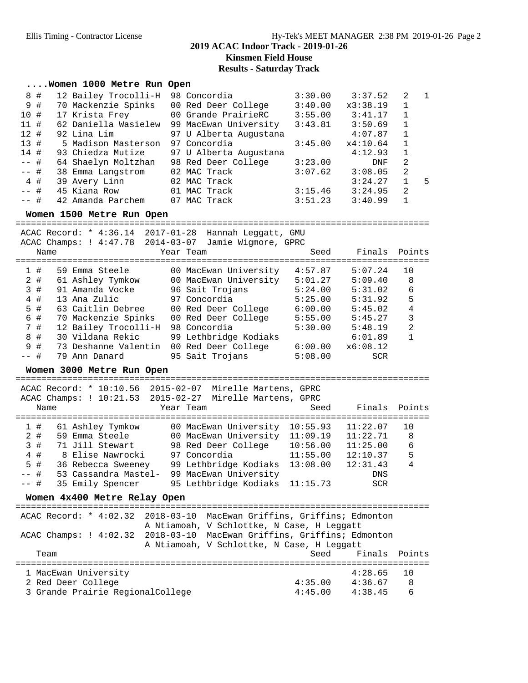## **2019 ACAC Indoor Track - 2019-01-26 Kinsmen Field House**

**Results - Saturday Track**

#### **....Women 1000 Metre Run Open**

| 8 #    | 12 Bailey Trocolli-H | 98 Concordia           | 3:30.00 | 3:37.52    | 2              | $\overline{1}$ |
|--------|----------------------|------------------------|---------|------------|----------------|----------------|
| 9#     | 70 Mackenzie Spinks  | 00 Red Deer College    | 3:40.00 | x3:38.19   | 1              |                |
| 10#    | 17 Krista Frey       | 00 Grande PrairieRC    | 3:55.00 | 3:41.17    |                |                |
| 11#    | 62 Daniella Wasielew | 99 MacEwan University  | 3:43.81 | 3:50.69    |                |                |
| 12#    | 92 Lina Lim          | 97 U Alberta Augustana |         | 4:07.87    | $\overline{1}$ |                |
| 13#    | 5 Madison Masterson  | 97 Concordia           | 3:45.00 | x4:10.64   | 1              |                |
| 14#    | 93 Chiedza Mutize    | 97 U Alberta Augustana |         | 4:12.93    | $\mathbf{1}$   |                |
| $--$ # | 64 Shaelyn Moltzhan  | 98 Red Deer College    | 3:23.00 | <b>DNF</b> | 2              |                |
| $--$ # | 38 Emma Langstrom    | 02 MAC Track           | 3:07.62 | 3:08.05    | 2              |                |
| 4#     | 39 Avery Linn        | 02 MAC Track           |         | 3:24.27    |                | -5             |
| $--$ # | 45 Kiana Row         | 01 MAC Track           | 3:15.46 | 3:24.95    | 2              |                |
| $--$ # | 42 Amanda Parchem    | 07 MAC Track           | 3:51.23 | 3:40.99    |                |                |

#### **Women 1500 Metre Run Open**

================================================================================ ACAC Record: \* 4:36.14 2017-01-28 Hannah Leggatt, GMU ACAC Champs: ! 4:47.78 2014-03-07 Jamie Wigmore, GPRC Name Year Team Seed Finals Points ================================================================================ 1 # 59 Emma Steele 00 MacEwan University 4:57.87 5:07.24 10 2 # 61 Ashley Tymkow 00 MacEwan University 5:01.27 5:09.40 8 3 # 91 Amanda Vocke 96 Sait Trojans 5:24.00 5:31.02 6 4 # 13 Ana Zulic 97 Concordia 5:25.00 5:31.92 5 5 # 63 Caitlin Debree 00 Red Deer College 6:00.00 5:45.02 4 6 # 70 Mackenzie Spinks 00 Red Deer College 5:55.00 5:45.27 3 7 # 12 Bailey Trocolli-H 98 Concordia 5:30.00 5:48.19 2 8 # 30 Vildana Rekic 99 Lethbridge Kodiaks 6:01.89 1 9 # 73 Deshanne Valentin 00 Red Deer College 6:00.00 x6:08.12 -- # 79 Ann Danard 95 Sait Trojans 5:08.00 SCR **Women 3000 Metre Run Open** ================================================================================ ACAC Record: \* 10:10.56 2015-02-07 Mirelle Martens, GPRC ACAC Champs: ! 10:21.53 2015-02-27 Mirelle Martens, GPRC Name Year Team Seed Finals Points ================================================================================ 1 # 61 Ashley Tymkow 00 MacEwan University 10:55.93 11:22.07 10 2 # 59 Emma Steele 00 MacEwan University 11:09.19 11:22.71 8 3 # 71 Jill Stewart 98 Red Deer College 10:56.00 11:25.00 6 4 # 8 Elise Nawrocki 97 Concordia 11:55.00 12:10.37 5

 5 # 36 Rebecca Sweeney 99 Lethbridge Kodiaks 13:08.00 12:31.43 4 -- # 53 Cassandra Mastel- 99 MacEwan University DNS -- # 35 Emily Spencer 95 Lethbridge Kodiaks 11:15.73 SCR

## **Women 4x400 Metre Relay Open**

================================================================================ ACAC Record: \* 4:02.32 2018-03-10 MacEwan Griffins, Griffins; Edmonton A Ntiamoah, V Schlottke, N Case, H Leggatt ACAC Champs: ! 4:02.32 2018-03-10 MacEwan Griffins, Griffins; Edmonton A Ntiamoah, V Schlottke, N Case, H Leggatt Team Seed Finals Points ================================================================================ 1 MacEwan University 2 Red Deer College 4:35.00 4:36.67 8 3 Grande Prairie RegionalCollege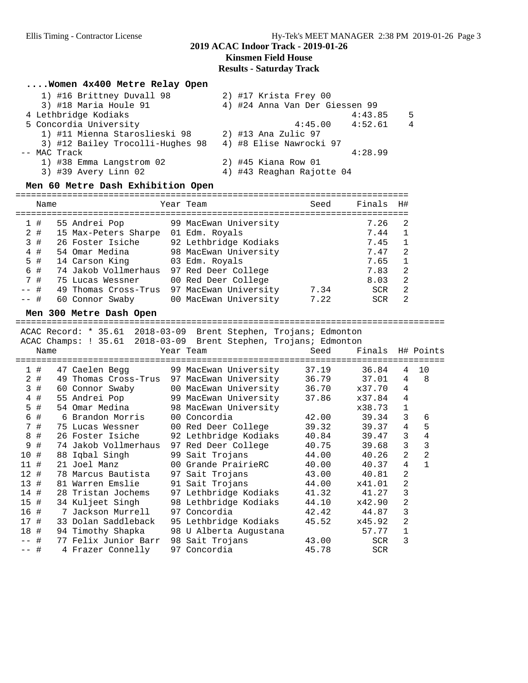### **2019 ACAC Indoor Track - 2019-01-26 Kinsmen Field House Results - Saturday Track**

#### **....Women 4x400 Metre Relay Open**

| 1) #16 Brittney Duvall 98        | 2) #17 Krista Frey 00          |
|----------------------------------|--------------------------------|
| 3) #18 Maria Houle 91            | 4) #24 Anna Van Der Giessen 99 |
| 4 Lethbridge Kodiaks             | 4:43.85<br>5                   |
| 5 Concordia University           | $4:45.00$ $4:52.61$<br>4       |
| 1) #11 Mienna Staroslieski 98    | 2) #13 Ana Zulic 97            |
| 3) #12 Bailey Trocolli-Hughes 98 | 4) #8 Elise Nawrocki 97        |
| -- MAC Track                     | 4:28.99                        |
| 1) #38 Emma Langstrom 02         | $2)$ #45 Kiana Row 01          |
| 3) #39 Avery Linn 02             | 4) #43 Reaghan Rajotte 04      |

#### **Men 60 Metre Dash Exhibition Open**

|        | Name |                      | Year Team             | Seed | Finals     | H# |
|--------|------|----------------------|-----------------------|------|------------|----|
|        |      |                      |                       |      |            |    |
|        | 1#   | 55 Andrei Pop        | 99 MacEwan University |      | 7.26       | 2  |
|        | 2#   | 15 Max-Peters Sharpe | 01 Edm. Royals        |      | 7.44       |    |
|        | 3#   | 26 Foster Isiche     | 92 Lethbridge Kodiaks |      | 7.45       |    |
|        | 4#   | 54 Omar Medina       | 98 MacEwan University |      | 7.47       | 2  |
|        | 5 #  | 14 Carson King       | 03 Edm. Royals        |      | 7.65       |    |
|        | 6#   | 74 Jakob Vollmerhaus | 97 Red Deer College   |      | 7.83       | 2  |
|        | 7#   | 75 Lucas Wessner     | 00 Red Deer College   |      | 8.03       | 2  |
| $--$ # |      | 49 Thomas Cross-Trus | 97 MacEwan University | 7.34 | <b>SCR</b> | 2  |
| $--$ # |      | 60 Connor Swaby      | 00 MacEwan University | 7.22 | <b>SCR</b> |    |

#### **Men 300 Metre Dash Open**

### ===================================================================================

|                |      |  |                      |                  |                 | ACAC Record: * 35.61 2018-03-09 Brent Stephen, Trojans; Edmonton |       |                 |            |                |                  |
|----------------|------|--|----------------------|------------------|-----------------|------------------------------------------------------------------|-------|-----------------|------------|----------------|------------------|
|                |      |  |                      |                  |                 | ACAC Champs: ! 35.61 2018-03-09 Brent Stephen, Trojans; Edmonton |       |                 |            |                |                  |
|                | Name |  |                      |                  | Year Team       |                                                                  | Seed  |                 |            |                | Finals H# Points |
|                |      |  |                      |                  |                 |                                                                  |       |                 |            |                |                  |
| 1              | #    |  | 47 Caelen Begg       |                  |                 | 99 MacEwan University                                            | 37.19 | 36.84           |            | 4              | 10               |
| $\overline{2}$ | #    |  |                      |                  |                 | 49 Thomas Cross-Trus 97 MacEwan University                       | 36.79 | 37.01           |            | 4              | 8                |
| 3              | $\#$ |  | 60 Connor Swaby      |                  |                 | 00 MacEwan University                                            |       | 36.70<br>x37.70 |            | $\overline{4}$ |                  |
| $\overline{4}$ | #    |  |                      | 55 Andrei Pop    |                 | 99 MacEwan University                                            |       | 37.86<br>x37.84 |            | $\overline{4}$ |                  |
| 5 #            |      |  | 54 Omar Medina       |                  |                 | 98 MacEwan University                                            |       | x38.73          |            | $\mathbf 1$    |                  |
| 6              | #    |  | 6 Brandon Morris     |                  | 00 Concordia    |                                                                  | 42.00 | 39.34           |            | 3              | 6                |
| 7              | #    |  |                      | 75 Lucas Wessner |                 | 00 Red Deer College                                              |       | 39.32<br>39.37  |            | $\overline{4}$ | 5                |
| 8              | #    |  | 26 Foster Isiche     |                  |                 | 92 Lethbridge Kodiaks                                            |       | 40.84<br>39.47  |            | 3              | 4                |
| 9              | #    |  | 74 Jakob Vollmerhaus |                  |                 | 97 Red Deer College                                              |       | 40.75<br>39.68  |            | 3              | 3                |
| 10             | #    |  | 88 Iqbal Singh       |                  | 99 Sait Trojans |                                                                  | 44.00 | 40.26           |            | $\overline{2}$ | $\overline{2}$   |
| 11 #           |      |  | 21 Joel Manz         |                  |                 | 00 Grande PrairieRC                                              | 40.00 | 40.37           |            | $\overline{4}$ | $\mathbf{1}$     |
| 12#            |      |  | 78 Marcus Bautista   |                  | 97 Sait Trojans |                                                                  | 43.00 | 40.81           |            | $\overline{2}$ |                  |
| 13#            |      |  | 81 Warren Emslie     |                  | 91 Sait Trojans |                                                                  | 44.00 | x41.01          |            | 2              |                  |
| 14 #           |      |  | 28 Tristan Jochems   |                  |                 | 97 Lethbridge Kodiaks                                            | 41.32 | 41.27           |            | 3              |                  |
| 15#            |      |  | 34 Kuljeet Singh     |                  |                 | 98 Lethbridge Kodiaks                                            |       | 44.10<br>x42.90 |            | $\overline{2}$ |                  |
| 16 #           |      |  | 7 Jackson Murrell    |                  | 97 Concordia    |                                                                  | 42.42 | 44.87           |            | 3              |                  |
| 17             | #    |  | 33 Dolan Saddleback  |                  |                 | 95 Lethbridge Kodiaks                                            |       | 45.52<br>x45.92 |            | $\overline{2}$ |                  |
| 18             | #    |  | 94 Timothy Shapka    |                  |                 | 98 U Alberta Augustana                                           |       | 57.77           |            | $\mathbf{1}$   |                  |
| -- #           |      |  | 77 Felix Junior Barr |                  | 98 Sait Trojans |                                                                  | 43.00 |                 | <b>SCR</b> | 3              |                  |
| -- #           |      |  | 4 Frazer Connelly    |                  | 97 Concordia    |                                                                  | 45.78 |                 | <b>SCR</b> |                |                  |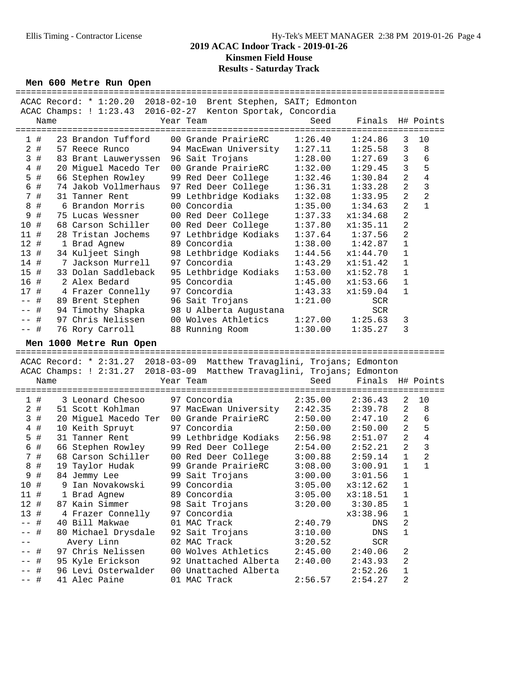### **2019 ACAC Indoor Track - 2019-01-26 Kinsmen Field House Results - Saturday Track**

#### **Men 600 Metre Run Open**

|                        | ACAC Record: * 1:20.20 2018-02-10 Brent Stephen, SAIT; Edmonton         |                                                  |         |                           |                |                |
|------------------------|-------------------------------------------------------------------------|--------------------------------------------------|---------|---------------------------|----------------|----------------|
|                        | ACAC Champs: ! 1:23.43 2016-02-27 Kenton Sportak, Concordia             |                                                  |         |                           |                |                |
|                        | Name                                                                    | Year Team                                        | Seed    | Finals                    |                | H# Points      |
|                        | ===========<br>--------------                                           |                                                  |         | ========================= |                |                |
| 1#                     | 23 Brandon Tufford                                                      | 00 Grande PrairieRC                              | 1:26.40 | 1:24.86                   | 3              | 10             |
| $2$ #                  | 57 Reece Runco                                                          | 94 MacEwan University                            | 1:27.11 | 1:25.58                   | 3              | 8              |
| 3#                     | 83 Brant Lauweryssen                                                    | 96 Sait Trojans                                  | 1:28.00 | 1:27.69                   | $\mathbf{3}$   | 6              |
| 4<br>#                 | 20 Miguel Macedo Ter                                                    | 00 Grande PrairieRC                              | 1:32.00 | 1:29.45                   | 3              | 5              |
| #<br>5                 | 66 Stephen Rowley                                                       | 99 Red Deer College                              | 1:32.46 | 1:30.84                   | $\overline{a}$ | $\overline{4}$ |
| 6<br>#                 | 74 Jakob Vollmerhaus                                                    | 97 Red Deer College                              | 1:36.31 | 1:33.28                   | 2              | $\mathbf{3}$   |
| 7 #                    | 31 Tanner Rent                                                          | 99 Lethbridge Kodiaks                            | 1:32.08 | 1:33.95                   | $\overline{a}$ | $\overline{c}$ |
| $\,8\,$<br>$\#$        | 6 Brandon Morris                                                        | 00 Concordia                                     | 1:35.00 | 1:34.63                   | 2              | $\mathbf{1}$   |
| 9<br>#                 | 75 Lucas Wessner                                                        | 00 Red Deer College                              | 1:37.33 | x1:34.68                  | 2              |                |
| 10#                    | 68 Carson Schiller                                                      | 00 Red Deer College                              | 1:37.80 | x1:35.11                  | 2              |                |
| 11 #                   | 28 Tristan Jochems                                                      | 97 Lethbridge Kodiaks                            | 1:37.64 | 1:37.56                   | 2              |                |
| 12#                    | 1 Brad Agnew                                                            | 89 Concordia                                     | 1:38.00 | 1:42.87                   | $\mathbf{1}$   |                |
| 13#                    | 34 Kuljeet Singh                                                        | 98 Lethbridge Kodiaks                            | 1:44.56 | x1:44.70                  | $\mathbf{1}$   |                |
| 14 #                   | 7 Jackson Murrell                                                       | 97 Concordia                                     | 1:43.29 | x1:51.42                  | $\mathbf 1$    |                |
| 15 #                   | 33 Dolan Saddleback                                                     | 95 Lethbridge Kodiaks                            | 1:53.00 | x1:52.78                  | $\mathbf{1}$   |                |
| 16 #                   | 2 Alex Bedard                                                           | 95 Concordia                                     | 1:45.00 | x1:53.66                  | $\mathbf{1}$   |                |
| 17 #                   | 4 Frazer Connelly                                                       | 97 Concordia                                     | 1:43.33 | x1:59.04                  | $\mathbf 1$    |                |
| #<br>$ -$              | 89 Brent Stephen                                                        | 96 Sait Trojans                                  | 1:21.00 | SCR                       |                |                |
| #<br>$\qquad \qquad -$ | 94 Timothy Shapka                                                       | 98 U Alberta Augustana                           |         | SCR                       |                |                |
| #<br>$- -$             | 97 Chris Nelissen                                                       | 00 Wolves Athletics                              | 1:27.00 | 1:25.63                   | 3              |                |
| $--$ #                 | 76 Rory Carroll                                                         | 88 Running Room                                  | 1:30.00 | 1:35.27                   | 3              |                |
|                        |                                                                         |                                                  |         |                           |                |                |
|                        | Men 1000 Metre Run Open                                                 |                                                  |         |                           |                |                |
|                        |                                                                         |                                                  |         |                           |                |                |
|                        | ACAC Record: * 2:31.27 2018-03-09 Matthew Travaglini, Trojans; Edmonton |                                                  |         |                           |                |                |
|                        | ACAC Champs: ! 2:31.27                                                  | 2018-03-09 Matthew Travaglini, Trojans; Edmonton |         |                           |                |                |
|                        | Name                                                                    | Year Team                                        | Seed    | Finals H# Points          |                |                |
|                        |                                                                         |                                                  |         |                           |                |                |
| 1#                     | 3 Leonard Chesoo                                                        | 97 Concordia                                     | 2:35.00 | 2:36.43                   | 2              | 10             |
| $2$ #                  | 51 Scott Kohlman                                                        | 97 MacEwan University                            | 2:42.35 | 2:39.78                   | $\overline{a}$ | 8              |
| 3#                     | 20 Miguel Macedo Ter 00 Grande PrairieRC                                |                                                  | 2:50.00 | 2:47.10                   | 2              | 6              |
| $\#$<br>4              | 10 Keith Spruyt                                                         | 97 Concordia                                     | 2:50.00 | 2:50.00                   | $\overline{a}$ | 5              |
| #<br>5                 | 31 Tanner Rent                                                          | 99 Lethbridge Kodiaks                            | 2:56.98 | 2:51.07                   | $\overline{a}$ | $\overline{4}$ |
| #<br>6                 | 66 Stephen Rowley                                                       | 99 Red Deer College                              | 2:54.00 | 2:52.21                   | 2              | $\mathbf{3}$   |
| $\#$<br>7              | 68 Carson Schiller                                                      | 00 Red Deer College                              | 3:00.88 | 2:59.14                   | $\mathbf{1}$   | $\overline{2}$ |
| 8<br>$\#$              | 19 Taylor Hudak                                                         | 99 Grande PrairieRC                              | 3:08.00 | 3:00.91                   | $\mathbf{1}$   | $\mathbf 1$    |
| 9#                     | 84 Jemmy Lee                                                            | 99 Sait Trojans                                  | 3:00.00 | 3:01.56                   | 1              |                |
| 10 #                   | 9 Ian Novakowski                                                        | 99 Concordia                                     | 3:05.00 | x3:12.62                  | 1              |                |
| 11 #                   | 1 Brad Agnew                                                            | 89 Concordia                                     | 3:05.00 | x3:18.51                  | $\mathbf 1$    |                |
| 12#                    | 87 Kain Simmer                                                          | 98 Sait Trojans                                  | 3:20.00 | 3:30.85                   | 1              |                |
| 13#                    | 4 Frazer Connelly                                                       | 97 Concordia                                     |         | x3:38.96                  | 1              |                |
| #<br>$- -$             | 40 Bill Makwae                                                          | 01 MAC Track                                     | 2:40.79 | DNS                       | 2              |                |
| #                      | 80 Michael Drysdale                                                     | 92 Sait Trojans                                  | 3:10.00 | DNS                       | 1              |                |
|                        | Avery Linn                                                              | 02 MAC Track                                     | 3:20.52 | SCR                       |                |                |
| #                      | 97 Chris Nelissen                                                       | 00 Wolves Athletics                              | 2:45.00 | 2:40.06                   | 2              |                |
| #                      | 95 Kyle Erickson                                                        | 92 Unattached Alberta                            | 2:40.00 | 2:43.93                   | 2              |                |
| #<br>-- #              | 96 Levi Osterwalder<br>41 Alec Paine                                    | 00 Unattached Alberta<br>01 MAC Track            | 2:56.57 | 2:52.26<br>2:54.27        | 1<br>2         |                |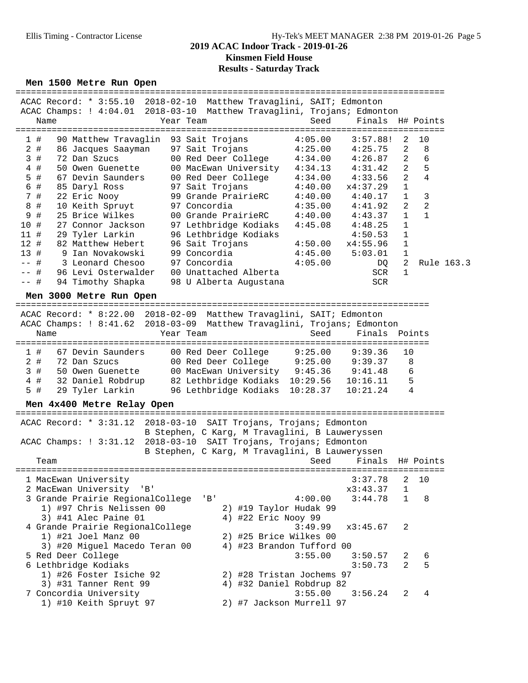#### Ellis Timing - Contractor License Hy-Tek's MEET MANAGER 2:38 PM 2019-01-26 Page 5 **2019 ACAC Indoor Track - 2019-01-26 Kinsmen Field House**

## **Results - Saturday Track**

#### **Men 1500 Metre Run Open**

|         |                                      | ACAC Record: * 3:55.10 2018-02-10 Matthew Travaglini, SAIT; Edmonton    |         |                     |                |                |
|---------|--------------------------------------|-------------------------------------------------------------------------|---------|---------------------|----------------|----------------|
|         |                                      | ACAC Champs: ! 4:04.01 2018-03-10 Matthew Travaglini, Trojans; Edmonton |         |                     |                |                |
| Name    |                                      | Year Team                                                               | Seed    | Finals H# Points    |                |                |
|         |                                      |                                                                         |         |                     |                |                |
| 1#      | 90 Matthew Travaglin 93 Sait Trojans |                                                                         | 4:05.00 | 3:57.88!            | $\mathcal{L}$  | 10             |
| 2#      |                                      | 86 Jacques Saayman 97 Sait Trojans 4:25.00 4:25.75                      |         |                     | $2^{1}$        | $_{\rm 8}$     |
| #<br>3  |                                      | 72 Dan Szucs 60 Red Deer College 4:34.00 4:26.87                        |         |                     | 2              | 6              |
| 4#      |                                      | 50 Owen Guenette 00 MacEwan University                                  |         | $4:34.13$ $4:31.42$ | $\overline{2}$ | 5              |
| 5 #     |                                      | 67 Devin Saunders     00 Red Deer College                               | 4:34.00 | 4:33.56             | $\mathfrak{D}$ | 4              |
| 6 #     |                                      | 85 Daryl Ross 97 Sait Trojans                                           | 4:40.00 | x4:37.29            | $\mathbf{1}$   |                |
| 7#      |                                      | 22 Eric Nooy 99 Grande PrairieRC                                        | 4:40.00 | 4:40.17             | $\mathbf{1}$   | 3              |
| #<br>8  | 10 Keith Spruyt                      | 97 Concordia                                                            |         | $4:35.00$ $4:41.92$ | 2              | $\overline{2}$ |
| #<br>9  | 25 Brice Wilkes                      | 00 Grande PrairieRC                                                     |         | $4:40.00$ $4:43.37$ | $\mathbf{1}$   |                |
| #<br>10 | 27 Connor Jackson                    | 97 Lethbridge Kodiaks                                                   |         | $4:45.08$ $4:48.25$ | $\mathbf{1}$   |                |
| 11#     | 29 Tyler Larkin                      | 96 Lethbridge Kodiaks                                                   |         | 4:50.53             | 1              |                |
| 12#     | 82 Matthew Hebert                    | 96 Sait Trojans                                                         | 4:50.00 | x4:55.96            | $\mathbf{1}$   |                |
| 13#     | 9 Ian Novakowski                     | 99 Concordia                                                            | 4:45.00 | 5:03.01             |                |                |
| $--$ #  | 3 Leonard Chesoo                     | $97$ Concordia $4:05.00$                                                |         | DQ                  | 2              | Rule 163.3     |
| -- #    | 96 Levi Osterwalder                  | 00 Unattached Alberta                                                   |         | SCR                 | 1              |                |
| #       | 94 Timothy Shapka                    | 98 U Alberta Augustana                                                  |         | SCR                 |                |                |
|         |                                      |                                                                         |         |                     |                |                |

#### **Men 3000 Metre Run Open**

================================================================================ ACAC Record: \* 8:22.00 2018-02-09 Matthew Travaglini, SAIT; Edmonton ACAC Champs: ! 8:41.62 2018-03-09 Matthew Travaglini, Trojans; Edmonton Name Tear Team Seed Finals Points ================================================================================ 1 # 67 Devin Saunders 00 Red Deer College 9:25.00 9:39.36 10 2 # 72 Dan Szucs 00 Red Deer College 9:25.00 9:39.37 8 3 # 50 Owen Guenette 00 MacEwan University 9:45.36 9:41.48 6 4 # 32 Daniel Robdrup 82 Lethbridge Kodiaks 10:29.56 10:16.11 5 5 # 29 Tyler Larkin 96 Lethbridge Kodiaks 10:28.37 10:21.24 4

#### **Men 4x400 Metre Relay Open**

| ACAC Record: * 3:31.12 2018-03-10 SAIT Trojans, Trojans; Edmonton                                                        |     |                           |         |                      |                |    |
|--------------------------------------------------------------------------------------------------------------------------|-----|---------------------------|---------|----------------------|----------------|----|
| B Stephen, C Karg, M Travaglini, B Lauweryssen<br>ACAC Champs: $: 3:31.12$<br>2018-03-10 SAIT Trojans, Trojans; Edmonton |     |                           |         |                      |                |    |
| B Stephen, C Karg, M Travaglini, B Lauweryssen                                                                           |     |                           |         |                      |                |    |
| Team                                                                                                                     |     |                           | Seed    | Finals H# Points     |                |    |
| 1 MacEwan University                                                                                                     |     |                           |         | 3:37.78              | 2              | 10 |
| 2 MacEwan University                                                                                                     |     |                           |         | x3:43.37             | $\mathbf{1}$   |    |
| 'B'                                                                                                                      |     |                           |         |                      |                |    |
| 3 Grande Prairie RegionalCollege                                                                                         | 'B' |                           | 4:00.00 | 3:44.78              | $\mathbf{1}$   | 8  |
| 1) #97 Chris Nelissen 00                                                                                                 |     | 2) #19 Taylor Hudak 99    |         |                      |                |    |
| 3) #41 Alec Paine 01                                                                                                     |     | 4) #22 Eric Nooy 99       |         |                      |                |    |
| 4 Grande Prairie RegionalCollege                                                                                         |     |                           |         | $3:49.99$ $x3:45.67$ | $\mathfrak{D}$ |    |
| $1)$ #21 Joel Manz 00                                                                                                    |     | 2) #25 Brice Wilkes 00    |         |                      |                |    |
| 3) #20 Miguel Macedo Teran 00                                                                                            |     | 4) #23 Brandon Tufford 00 |         |                      |                |    |
| 5 Red Deer College                                                                                                       |     |                           | 3:55.00 | 3:50.57              | 2              | 6  |
| 6 Lethbridge Kodiaks                                                                                                     |     |                           |         | 3:50.73              | $\overline{2}$ | 5  |
| 1) #26 Foster Isiche 92                                                                                                  |     | 2) #28 Tristan Jochems 97 |         |                      |                |    |
| 3) #31 Tanner Rent 99                                                                                                    |     | 4) #32 Daniel Robdrup 82  |         |                      |                |    |
|                                                                                                                          |     |                           | 3:55.00 | 3:56.24              | $\mathcal{L}$  |    |
| 7 Concordia University                                                                                                   |     |                           |         |                      |                |    |
| 1) #10 Keith Spruyt 97                                                                                                   |     | 2) #7 Jackson Murrell 97  |         |                      |                |    |